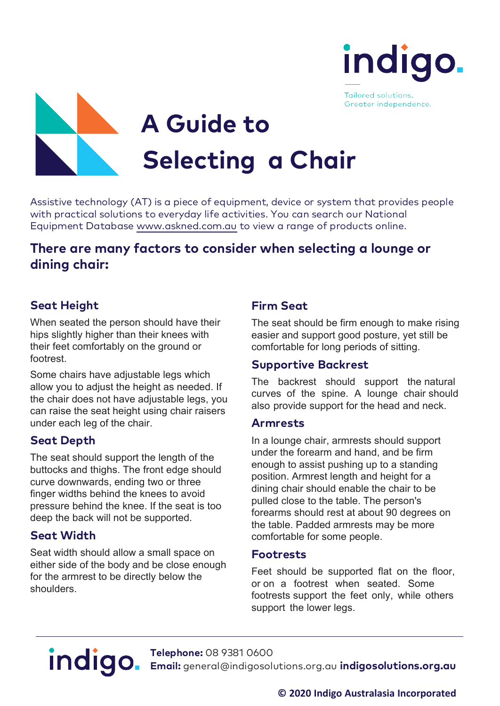

Tailored solutions. Greater independence.



Assistive technology (AT) is a piece of equipment, device or system that provides people<br>with practical solutions to everyday life activities. You can search our National<br>Equipment Database<www.askned.com.au>to view a rang

# **There are many factors to consider when selecting <sup>a</sup> lounge or dining chair:**

# **Seat Height**

When seated the person should have their hips slightly higher than their knees with their feet comfortably on the ground or footrest.

Some chairs have adjustable legs which allow you to adjust the height as needed. If the chair does not have adjustable legs, you can raise the seat height using chair raisers under each leg of the chair.

## **Seat Depth**

The seat should support the length of the buttocks and thighs. The front edge should curve downwards, ending two or three finger widths behind the knees to avoid pressure behind the knee. If the seat is too deep the back will not be supported.

## **Seat Width**

Seat width should allow a small space on either side of the body and be close enough for the armrest to be directly below the shoulders.

### **Firm Seat**

The seat should be firm enough to make rising easier and support good posture, yet still be comfortable for long periods of sitting.

#### **Supportive Backrest**

The backrest should support the natural curves of the spine. A lounge chair should also provide support for the head and neck.

#### **Armrests**

In a lounge chair, armrests should support under the forearm and hand, and be firm enough to assist pushing up to a standing position. Armrest length and height for a dining chair should enable the chair to be pulled close to the table. The person's forearms should rest at about 90 degrees on the table. Padded armrests may be more comfortable for some people.

#### **Footrests**

Feet should be supported flat on the floor, or on a footrest when seated. Some footrests support the feet only, while others support the lower legs.

**Telephone:** 08 9381 0600 **Email:** [general@indigosolutions.org.au](mailto:general@indigosolutions.org.au) **indigosolutions.org.au**